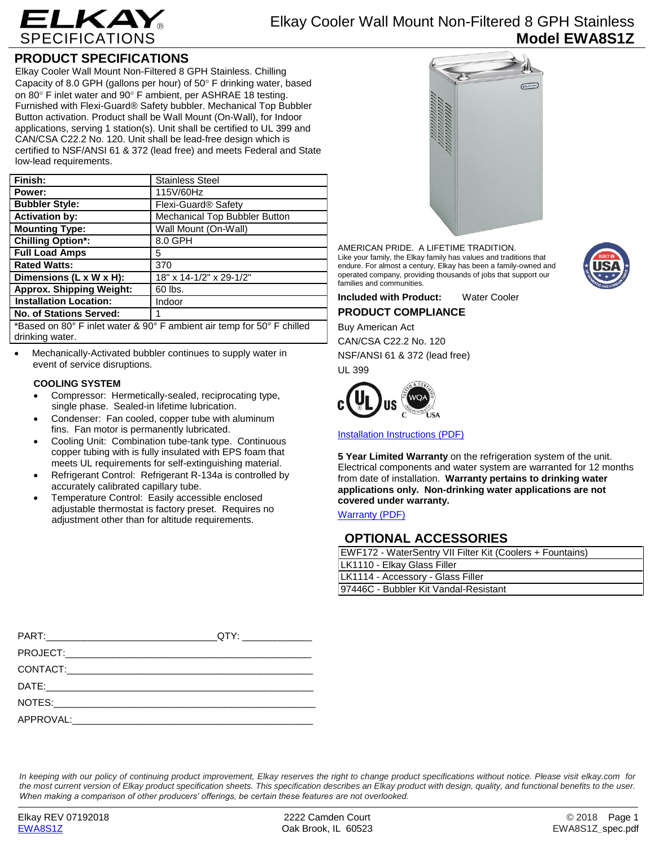

# Elkay Cooler Wall Mount Non-Filtered 8 GPH Stainless **Model EWA8S1Z**

## **PRODUCT SPECIFICATIONS**

Elkay Cooler Wall Mount Non-Filtered 8 GPH Stainless. Chilling Capacity of 8.0 GPH (gallons per hour) of  $50^\circ$  F drinking water, based on 80 $\degree$  F inlet water and 90 $\degree$  F ambient, per ASHRAE 18 testing. Furnished with Flexi-Guard® Safety bubbler. Mechanical Top Bubbler Button activation. Product shall be Wall Mount (On-Wall), for Indoor applications, serving 1 station(s). Unit shall be certified to UL 399 and CAN/CSA C22.2 No. 120. Unit shall be lead-free design which is certified to NSF/ANSI 61 & 372 (lead free) and meets Federal and State low-lead requirements.

| Finish:                                                                | <b>Stainless Steel</b>          |
|------------------------------------------------------------------------|---------------------------------|
| Power:                                                                 | 115V/60Hz                       |
| <b>Bubbler Style:</b>                                                  | Flexi-Guard <sup>®</sup> Safety |
| <b>Activation by:</b>                                                  | Mechanical Top Bubbler Button   |
| <b>Mounting Type:</b>                                                  | Wall Mount (On-Wall)            |
| <b>Chilling Option*:</b>                                               | 8.0 GPH                         |
| <b>Full Load Amps</b>                                                  | 5                               |
| <b>Rated Watts:</b>                                                    | 370                             |
| Dimensions (L x W x H):                                                | 18" x 14-1/2" x 29-1/2"         |
| <b>Approx. Shipping Weight:</b>                                        | 60 lbs.                         |
| <b>Installation Location:</b>                                          | Indoor                          |
| <b>No. of Stations Served:</b>                                         |                                 |
| *Based on 80° F inlet water & 90° F ambient air temp for 50° F chilled |                                 |

drinking water.

 Mechanically-Activated bubbler continues to supply water in event of service disruptions.

## **COOLING SYSTEM**

- Compressor: Hermetically-sealed, reciprocating type, single phase. Sealed-in lifetime lubrication.
- Condenser: Fan cooled, copper tube with aluminum fins. Fan motor is permanently lubricated.
- Cooling Unit: Combination tube-tank type. Continuous copper tubing with is fully insulated with EPS foam that meets UL requirements for self-extinguishing material.
- Refrigerant Control: Refrigerant R-134a is controlled by accurately calibrated capillary tube.
- Temperature Control: Easily accessible enclosed adjustable thermostat is factory preset. Requires no adjustment other than for altitude requirements.



AMERICAN PRIDE. A LIFETIME TRADITION. Like your family, the Elkay family has values and traditions that endure. For almost a century, Elkay has been a family-owned and operated company, providing thousands of jobs that support our families and communities.



**Included with Product:** Water Cooler **PRODUCT COMPLIANCE**

Buy American Act CAN/CSA C22.2 No. 120 NSF/ANSI 61 & 372 (lead free) UL 399



[Installation Instructions \(PDF\)](http://www.elkay.com/wcsstore/lkdocs/care-cleaning-install-warranty-sheets/98935c.pdf)

**5 Year Limited Warranty** on the refrigeration system of the unit. Electrical components and water system are warranted for 12 months from date of installation. **Warranty pertains to drinking water applications only. Non-drinking water applications are not covered under warranty.**

[Warranty](http://www.elkay.com/wcsstore/lkdocs/care-cleaning-install-warranty-sheets/96993c.pdf) (PDF)

# **OPTIONAL ACCESSORIES**

| EWF172 - WaterSentry VII Filter Kit (Coolers + Fountains) |  |
|-----------------------------------------------------------|--|
| LK1110 - Elkay Glass Filler                               |  |
| LK1114 - Accessory - Glass Filler                         |  |
| 197446C - Bubbler Kit Vandal-Resistant                    |  |

| __QTY: __________________ |
|---------------------------|
|                           |
|                           |
|                           |
|                           |
|                           |

*In keeping with our policy of continuing product improvement, Elkay reserves the right to change product specifications without notice. Please visit elkay.com for the most current version of Elkay product specification sheets. This specification describes an Elkay product with design, quality, and functional benefits to the user. When making a comparison of other producers' offerings, be certain these features are not overlooked.*

[EWA8S1Z](http://www.elkay.com/ewa8s1z) Oak Brook, IL 60523 EWA8S1Z*\_*spec.pdf